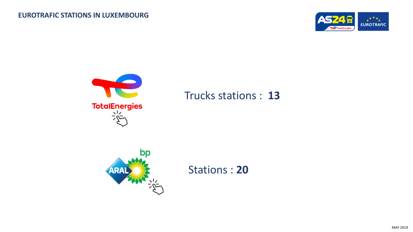



## Trucks stations : **13**



Stations : **20**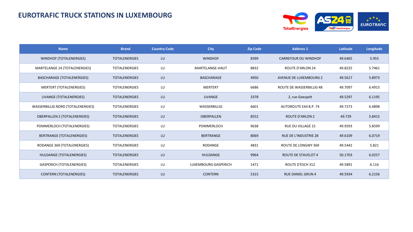## **EUROTRAFIC TRUCK STATIONS IN LUXEMBOURG**



| <b>Name</b>                         | <b>Brand</b>         | <b>Country Code</b> | <b>City</b>          | <b>Zip Code</b> | <b>Address 1</b>                | Latitude | Longitude |
|-------------------------------------|----------------------|---------------------|----------------------|-----------------|---------------------------------|----------|-----------|
| WINDHOF (TOTALENERGIES)             | <b>TOTALENERGIES</b> | LU                  | <b>WINDHOF</b>       | 8399            | <b>CARREFOUR DU WINDHOF</b>     | 49.6465  | 5.955     |
| MARTELANGE 24 (TOTALENERGIES)       | <b>TOTALENERGIES</b> | LU                  | MARTELANGE-HAUT      | 8832            | <b>ROUTE D'ARLON 24</b>         | 49.8225  | 5.7461    |
| BASCHARAGE (TOTALENERGIES)          | <b>TOTALENERGIES</b> | LU                  | <b>BASCHARAGE</b>    | 4950            | <b>AVENUE DE LUXEMBOURG 2</b>   | 49.5617  | 5.8973    |
| <b>MERTERT (TOTALENERGIES)</b>      | <b>TOTALENERGIES</b> | LU                  | <b>MERTERT</b>       | 6686            | <b>ROUTE DE WASSERBILLIG 48</b> | 49.7097  | 6.4915    |
| LIVANGE (TOTALENERGIES)             | <b>TOTALENERGIES</b> | LU                  | <b>LIVANGE</b>       | 3378            | 2, rue Geespelt                 | 49.5297  | 6.1195    |
| WASSERBILLIG NORD (TOTALENERGIES)   | <b>TOTALENERGIES</b> | LU                  | WASSERBILLIG         | 6601            | <b>AUTOROUTE E44 B.P. 74</b>    | 49.7273  | 6.4898    |
| <b>OBERPALLEN 2 (TOTALENERGIES)</b> | <b>TOTALENERGIES</b> | LU                  | <b>OBERPALLEN</b>    | 8552            | <b>ROUTE D'ARLON 2</b>          | 49.729   | 5.8415    |
| POMMERLOCH (TOTALENERGIES)          | <b>TOTALENERGIES</b> | LU                  | <b>POMMERLOCH</b>    | 9638            | <b>RUE DU VILLAGE 15</b>        | 49.9593  | 5.8599    |
| <b>BERTRANGE (TOTALENERGIES)</b>    | <b>TOTALENERGIES</b> | LU                  | <b>BERTRANGE</b>     | 8069            | RUE DE L'INDUSTRIE 28           | 49.6109  | 6.0719    |
| RODANGE 369 (TOTALENERGIES)         | <b>TOTALENERGIES</b> | LU                  | RODANGE              | 4831            | ROUTE DE LONGWY 369             | 49.5442  | 5.821     |
| HULDANGE (TOTALENERGIES)            | <b>TOTALENERGIES</b> | LU                  | <b>HULDANGE</b>      | 9964            | ROUTE DE STAVELOT 4             | 50.1703  | 6.0257    |
| <b>GASPERICH (TOTALENERGIES)</b>    | TOTALENERGIES        | LU                  | LUXEMBOURG GASPERICH | 1471            | ROUTE D'ESCH 312                | 49.5891  | 6.116     |
| <b>CONTERN (TOTALENERGIES)</b>      | <b>TOTALENERGIES</b> | LU                  | <b>CONTERN</b>       | 5315            | <b>RUE DANIEL GRUN 4</b>        | 49.5934  | 6.2156    |